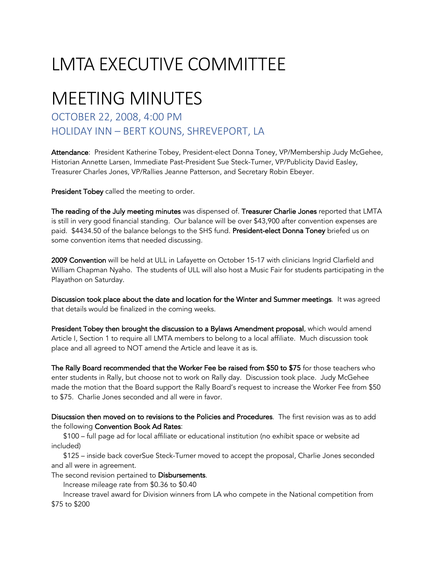## LMTA EXECUTIVE COMMITTEE

## MEETING MINUTES

## OCTOBER 22, 2008, 4:00 PM HOLIDAY INN – BERT KOUNS, SHREVEPORT, LA

Attendance: President Katherine Tobey, President-elect Donna Toney, VP/Membership Judy McGehee, Historian Annette Larsen, Immediate Past-President Sue Steck-Turner, VP/Publicity David Easley, Treasurer Charles Jones, VP/Rallies Jeanne Patterson, and Secretary Robin Ebeyer.

President Tobey called the meeting to order.

The reading of the July meeting minutes was dispensed of. Treasurer Charlie Jones reported that LMTA is still in very good financial standing. Our balance will be over \$43,900 after convention expenses are paid. \$4434.50 of the balance belongs to the SHS fund. President-elect Donna Toney briefed us on some convention items that needed discussing.

2009 Convention will be held at ULL in Lafayette on October 15-17 with clinicians Ingrid Clarfield and William Chapman Nyaho. The students of ULL will also host a Music Fair for students participating in the Playathon on Saturday.

Discussion took place about the date and location for the Winter and Summer meetings. It was agreed that details would be finalized in the coming weeks.

President Tobey then brought the discussion to a Bylaws Amendment proposal, which would amend Article I, Section 1 to require all LMTA members to belong to a local affiliate. Much discussion took place and all agreed to NOT amend the Article and leave it as is.

The Rally Board recommended that the Worker Fee be raised from \$50 to \$75 for those teachers who enter students in Rally, but choose not to work on Rally day. Discussion took place. Judy McGehee made the motion that the Board support the Rally Board's request to increase the Worker Fee from \$50 to \$75. Charlie Jones seconded and all were in favor.

Disucssion then moved on to revisions to the Policies and Procedures. The first revision was as to add the following Convention Book Ad Rates:

 \$100 – full page ad for local affiliate or educational institution (no exhibit space or website ad included)

 \$125 – inside back coverSue Steck-Turner moved to accept the proposal, Charlie Jones seconded and all were in agreement.

The second revision pertained to Disbursements.

Increase mileage rate from \$0.36 to \$0.40

 Increase travel award for Division winners from LA who compete in the National competition from \$75 to \$200